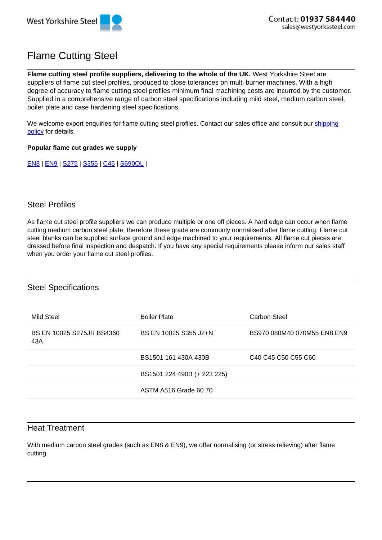

# Flame Cutting Steel

**Flame cutting steel profile suppliers, delivering to the whole of the UK.** West Yorkshire Steel are suppliers of flame cut steel profiles, produced to close tolerances on multi burner machines. With a high degree of accuracy to flame cutting steel profiles minimum final machining costs are incurred by the customer. Supplied in a comprehensive range of carbon steel specifications including mild steel, medium carbon steel, boiler plate and case hardening steel specifications.

We welcome export enquiries for flame cutting steel profiles. Contact our sales office and consult our shipping policy for details.

#### **Popular flame cut grades we supply**

EN8 | EN9 | S275 | S355 | C45 | S690QL |

## Steel Profiles

As flame cut steel profile suppliers we can produce multiple or one off pieces. A hard edge can occur when flame cutting medium carbon steel plate, therefore these grade are commonly normalised after flame cutting. Flame cut steel blanks can be supplied surface ground and edge machined to your requirements. All flame cut pieces are dressed before final inspection and despatch. If you have any special requirements please inform our sales staff when you order your flame cut steel profiles.

#### Steel Specifications

| Mild Steel                       | <b>Boiler Plate</b>         | Carbon Steel                                                                    |
|----------------------------------|-----------------------------|---------------------------------------------------------------------------------|
| BS EN 10025 S275JR BS4360<br>43A | BS EN 10025 S355 J2+N       | BS970 080M40 070M55 EN8 EN9                                                     |
|                                  | BS1501 161 430A 430B        | C <sub>40</sub> C <sub>45</sub> C <sub>50</sub> C <sub>55</sub> C <sub>60</sub> |
|                                  | BS1501 224 490B (+ 223 225) |                                                                                 |
|                                  | ASTM A516 Grade 60 70       |                                                                                 |

## Heat Treatment

With medium carbon steel grades (such as EN8 & EN9), we offer normalising (or stress relieving) after flame cutting.